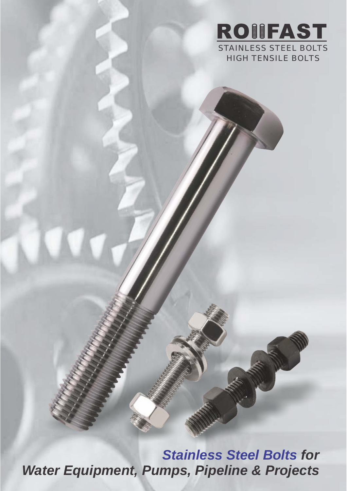

*Stainless Steel Bolts for Water Equipment, Pumps, Pipeline & Projects*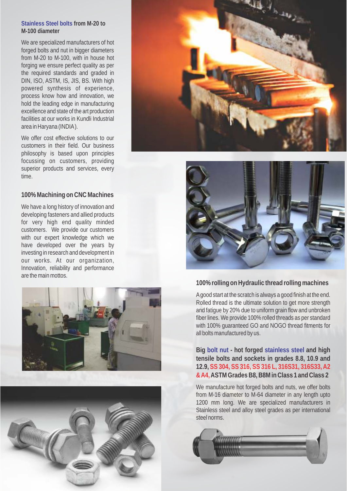#### **Stainless Steel bolts from M-20 to M-100 diameter**

We are specialized manufacturers of hot forged bolts and nut in bigger diameters from M-20 to M-100, with in house hot forging we ensure perfect quality as per the required standards and graded in DIN, ISO, ASTM, IS, JIS, BS. With high powered synthesis of experience, process know how and innovation, we hold the leading edge in manufacturing excellence and state of the art production facilities at our works in Kundli Industrial area in Haryana (INDIA).

We offer cost effective solutions to our customers in their field. Our business philosophy is based upon principles focussing on customers, providing superior products and services, every time.

#### **100% Machining on CNC Machines**

We have a long history of innovation and developing fasteners and allied products for very high end quality minded customers. We provide our customers with our expert knowledge which we have developed over the years by investing in research and development in our works. At our organization, Innovation, reliability and performance are the main mottos.









### **100% rolling on Hydraulic thread rolling machines**

Agood start at the scratch is always a good finish at the end. Rolled thread is the ultimate solution to get more strength and fatigue by 20% due to uniform grain flow and unbroken fiber lines. We provide 100% rolled threads as per standard with 100% guaranteed GO and NOGO thread fitments for all bolts manufactured by us.

**Big** bolt nut - hot forged stainless steel and high **tensile bolts and sockets in grades 8.8, 10.9 and 12.9, SS 304, SS 316, SS 316 L, 316S31, 316S33, A2 ASTM Grades B8, B8M in Class 1 and Class 2 & A4,**

We manufacture hot forged bolts and nuts, we offer bolts from M-16 diameter to M-64 diameter in any length upto 1200 mm long. We are specialized manufacturers in Stainless steel and alloy steel grades as per international steel norms.

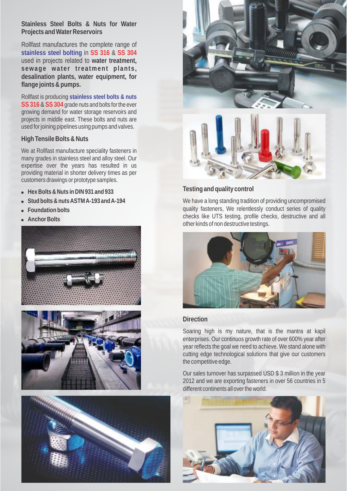**Stainless Steel Bolts & Nuts for Water Projects and Water Reservoirs**

Rollfast manufactures the complete range of stainless steel bolting in SS 316 & SS 304 used in projects related to **water treatment, sewage water treatment plants, desalination plants, water equipment, for flange joints & pumps.**

Rollfast is producing **stainless steel bolts & nuts**  SS 316 & SS 304 grade nuts and bolts for the ever growing demand for water storage reservoirs and projects in middle east. These bolts and nuts are used for joining pipelines using pumps and valves.

**High Tensile Bolts & Nuts**

We at Rollfast manufacture speciality fasteners in many grades in stainless steel and alloy steel. Our expertise over the years has resulted in us providing material in shorter delivery times as per customers drawings or prototype samples.

- **e** Hex Bolts & Nuts in DIN 931 and 933
- l**Stud bolts & nuts ASTM A-193 and A-194**
- l**Foundation bolts**
- **Anchor Bolts**











**Testing and quality control**

We have a long standing tradition of providing uncompromised quality fasteners, We relentlessly conduct series of quality checks like UTS testing, profile checks, destructive and all other kinds of non destructive testings.



#### **Direction**

Soaring high is my nature, that is the mantra at kapil enterprises. Our continuos growth rate of over 600% year after year reflects the goal we need to achieve. We stand alone with cutting edge technological solutions that give our customers the competitive edge.

Our sales turnover has surpassed USD \$ 3 million in the year 2012 and we are exporting fasteners in over 56 countries in 5 different continents all over the world.